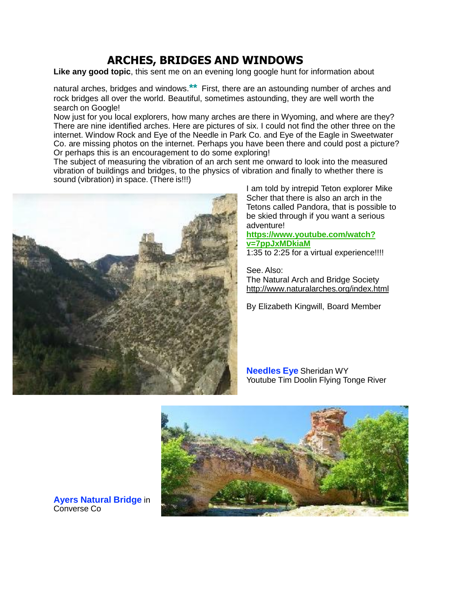## **ARCHES, BRIDGES AND WINDOWS**

**Like any good topic**, this sent me on an evening long google hunt for information about

natural arches, bridges and windows.**\*\*** First, there are an astounding number of arches and rock bridges all over the world. Beautiful, sometimes astounding, they are well worth the search on Google!

Now just for you local explorers, how many arches are there in Wyoming, and where are they? There are nine identified arches. Here are pictures of six. I could not find the other three on the internet. Window Rock and Eye of the Needle in Park Co. and Eye of the Eagle in Sweetwater Co. are missing photos on the internet. Perhaps you have been there and could post a picture? Or perhaps this is an encouragement to do some exploring!

The subject of measuring the vibration of an arch sent me onward to look into the measured vibration of buildings and bridges, to the physics of vibration and finally to whether there is sound (vibration) in space. (There is!!!)



I am told by intrepid Teton explorer Mike Scher that there is also an arch in the Tetons called Pandora, that is possible to be skied through if you want a serious adventure!

## **[https://www.youtube.com/watch?](https://www.youtube.com/watch?v=7ppJxMDkiaM) [v=7ppJxMDkiaM](https://www.youtube.com/watch?v=7ppJxMDkiaM)**

1:35 to 2:25 for a virtual experience!!!!

See. Also: The Natural Arch and Bridge Society <http://www.naturalarches.org/index.html>

By Elizabeth Kingwill, Board Member

**Needles Eye** Sheridan WY Youtube Tim Doolin Flying Tonge River



**Ayers Natural Bridge** in Converse Co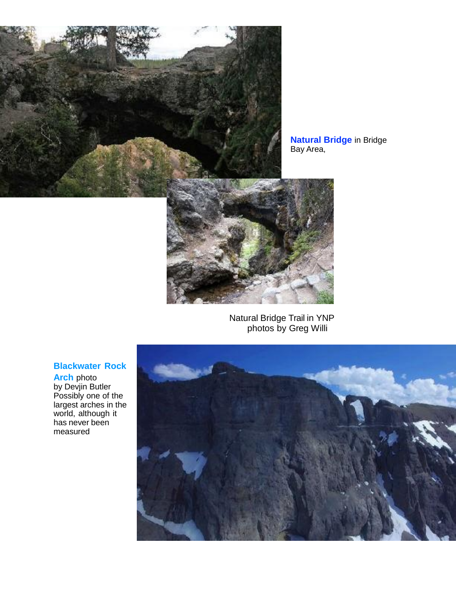

**Natural Bridge** in Bridge Bay Area,



Natural Bridge Trail in YNP photos by Greg Willi

## **Blackwater Rock**

**Arch** photo by Devjin Butler Possibly one of the largest arches in the world, although it has never been measured

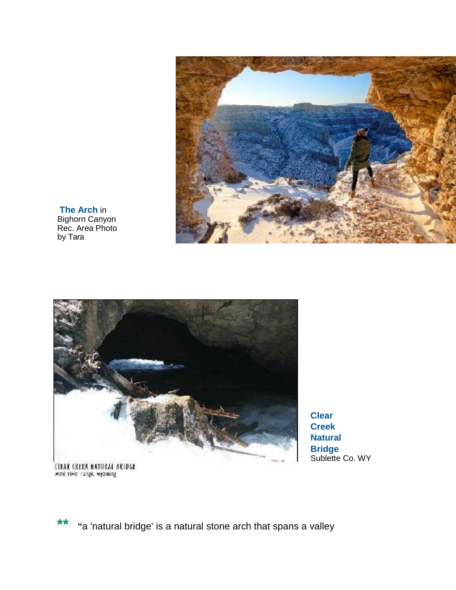

**The Arch** in Bighorn Canyon Rec. Area Photo by Tara



**Clear Creek Natural Bridge** Sublette Co. WY

CIEAR CREEK NATURAL BRIDGE<br>wind river range, wypming

**\*\* "**<sup>a</sup> 'natural bridge' is <sup>a</sup> natural stone arch that spans <sup>a</sup> valley